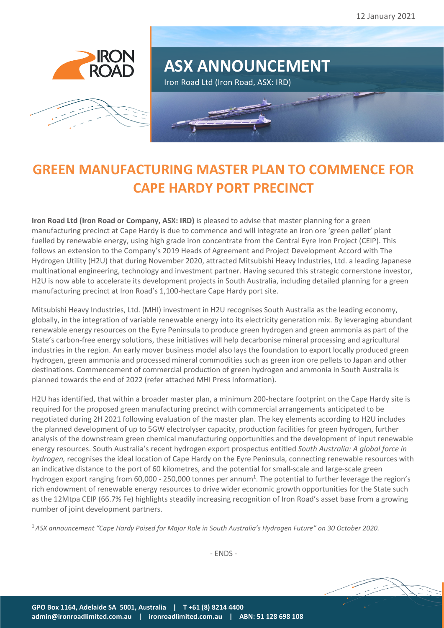





# **GREEN MANUFACTURING MASTER PLAN TO COMMENCE FOR CAPE HARDY PORT PRECINCT**

**Iron Road Ltd (Iron Road or Company, ASX: IRD)** is pleased to advise that master planning for a green manufacturing precinct at Cape Hardy is due to commence and will integrate an iron ore 'green pellet' plant fuelled by renewable energy, using high grade iron concentrate from the Central Eyre Iron Project (CEIP). This follows an extension to the Company's 2019 Heads of Agreement and Project Development Accord with The Hydrogen Utility (H2U) that during November 2020, attracted Mitsubishi Heavy Industries, Ltd. a leading Japanese multinational engineering, technology and investment partner. Having secured this strategic cornerstone investor, H2U is now able to accelerate its development projects in South Australia, including detailed planning for a green manufacturing precinct at Iron Road's 1,100-hectare Cape Hardy port site.

Mitsubishi Heavy Industries, Ltd. (MHI) investment in H2U recognises South Australia as the leading economy, globally, in the integration of variable renewable energy into its electricity generation mix. By leveraging abundant renewable energy resources on the Eyre Peninsula to produce green hydrogen and green ammonia as part of the State's carbon-free energy solutions, these initiatives will help decarbonise mineral processing and agricultural industries in the region. An early mover business model also lays the foundation to export locally produced green hydrogen, green ammonia and processed mineral commodities such as green iron ore pellets to Japan and other destinations. Commencement of commercial production of green hydrogen and ammonia in South Australia is planned towards the end of 2022 (refer attached MHI Press Information).

H2U has identified, that within a broader master plan, a minimum 200-hectare footprint on the Cape Hardy site is required for the proposed green manufacturing precinct with commercial arrangements anticipated to be negotiated during 2H 2021 following evaluation of the master plan. The key elements according to H2U includes the planned development of up to 5GW electrolyser capacity, production facilities for green hydrogen, further analysis of the downstream green chemical manufacturing opportunities and the development of input renewable energy resources. South Australia's recen[t hydrogen export prospectus](http://www.renewablessa.sa.gov.au/content/uploads/2020/10/south-australia-hydrogen-export-prospectus.pdf) entitled *South Australia: A global force in hydrogen,* recognises the ideal location of Cape Hardy on the Eyre Peninsula, connecting renewable resources with an indicative distance to the port of 60 kilometres, and the potential for small-scale and large-scale green hydrogen export ranging from 60,000 - 250,000 tonnes per annum<sup>1</sup>. The potential to further leverage the region's rich endowment of renewable energy resources to drive wider economic growth opportunities for the State such as the 12Mtpa CEIP (66.7% Fe) highlights steadily increasing recognition of Iron Road's asset base from a growing number of joint development partners.

<sup>1</sup>*ASX announcement "Cape Hardy Poised for Major Role in South Australia's Hydrogen Future" on 30 October 2020.*

- ENDS -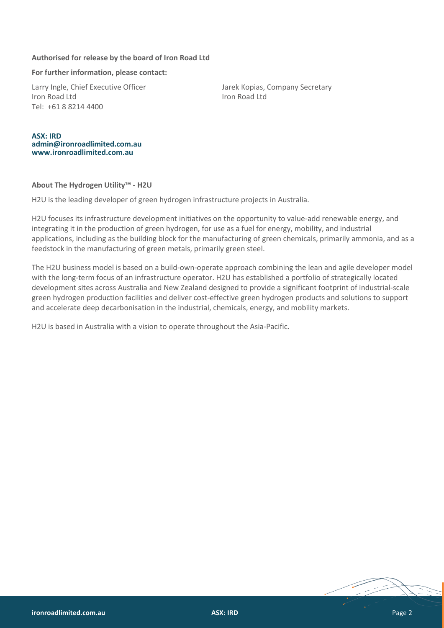### **Authorised for release by the board of Iron Road Ltd**

#### **For further information, please contact:**

Larry Ingle, Chief Executive Officer The Matter State Barek Kopias, Company Secretary Iron Road Ltd Iron Road Ltd Tel: +61 8 8214 4400

#### **ASX: IRD [admin@ironroadlimited.com.au](mailto:admin@ironroadlimited.com.au) [www.ironroadlimited.com.au](http://www.ironroadlimited.com.au/)**

#### **About The Hydrogen Utility™ - H2U**

H2U is the leading developer of green hydrogen infrastructure projects in Australia.

H2U focuses its infrastructure development initiatives on the opportunity to value-add renewable energy, and integrating it in the production of green hydrogen, for use as a fuel for energy, mobility, and industrial applications, including as the building block for the manufacturing of green chemicals, primarily ammonia, and as a feedstock in the manufacturing of green metals, primarily green steel.

The H2U business model is based on a build-own-operate approach combining the lean and agile developer model with the long-term focus of an infrastructure operator. H2U has established a portfolio of strategically located development sites across Australia and New Zealand designed to provide a significant footprint of industrial-scale green hydrogen production facilities and deliver cost-effective green hydrogen products and solutions to support and accelerate deep decarbonisation in the industrial, chemicals, energy, and mobility markets.

H2U is based in Australia with a vision to operate throughout the Asia-Pacific.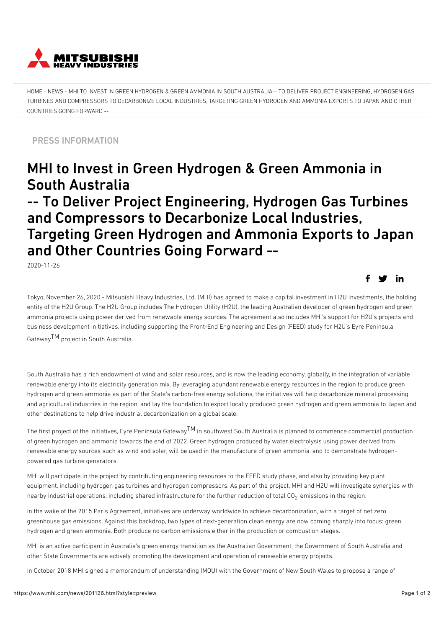

[HOME](https://www.mhi.com/) - [NEWS](https://www.mhi.com/news) - MHI TO INVEST IN GREEN HYDROGEN & GREEN AMMONIA IN SOUTH AUSTRALIA-- TO DELIVER PROJECT ENGINEERING, HYDROGEN GAS TURBINES AND COMPRESSORS TO DECARBONIZE LOCAL INDUSTRIES, TARGETING GREEN HYDROGEN AND AMMONIA EXPORTS TO JAPAN AND OTHER COUNTRIES GOING FORWARD --

PRESS INFORMATION

## MHI to Invest in Green Hydrogen & Green Ammonia in South Australia

## -- To Deliver Project Engineering, Hydrogen Gas Turbines and Compressors to Decarbonize Local Industries, Targeting Green Hydrogen and Ammonia Exports to Japan and Other Countries Going Forward --

2020-11-26

Tokyo, November 26, 2020 - Mitsubishi Heavy Industries, Ltd. (MHI) has agreed to make a capital investment in H2U Investments, the holding entity of the H2U Group. The H2U Group includes The Hydrogen Utility (H2U), the leading Australian developer of green hydrogen and green ammonia projects using power derived from renewable energy sources. The agreement also includes MHI's support for H2U's projects and business development initiatives, including supporting the Front-End Engineering and Design (FEED) study for H2U's Eyre Peninsula

GatewayTM project in South Australia.

South Australia has a rich endowment of wind and solar resources, and is now the leading economy, globally, in the integration of variable renewable energy into its electricity generation mix. By leveraging abundant renewable energy resources in the region to produce green hydrogen and green ammonia as part of the State's carbon-free energy solutions, the initiatives will help decarbonize mineral processing and agricultural industries in the region, and lay the foundation to export locally produced green hydrogen and green ammonia to Japan and other destinations to help drive industrial decarbonization on a global scale.

The first project of the initiatives, Eyre Peninsula Gateway<sup>TM</sup> in southwest South Australia is planned to commence commercial production of green hydrogen and ammonia towards the end of 2022. Green hydrogen produced by water electrolysis using power derived from renewable energy sources such as wind and solar, will be used in the manufacture of green ammonia, and to demonstrate hydrogenpowered gas turbine generators.

MHI will participate in the project by contributing engineering resources to the FEED study phase, and also by providing key plant equipment, including hydrogen gas turbines and hydrogen compressors. As part of the project, MHI and H2U will investigate synergies with nearby industrial operations, including shared infrastructure for the further reduction of total  $CO<sub>2</sub>$  emissions in the region.

In the wake of the 2015 Paris Agreement, initiatives are underway worldwide to achieve decarbonization, with a target of net zero greenhouse gas emissions. Against this backdrop, two types of next-generation clean energy are now coming sharply into focus: green hydrogen and green ammonia. Both produce no carbon emissions either in the production or combustion stages.

MHI is an active participant in Australia's green energy transition as the Australian Government, the Government of South Australia and other State Governments are actively promoting the development and operation of renewable energy projects.

In October 2018 MHI signed a memorandum of understanding (MOU) with the Government of New South Wales to propose a range of

in